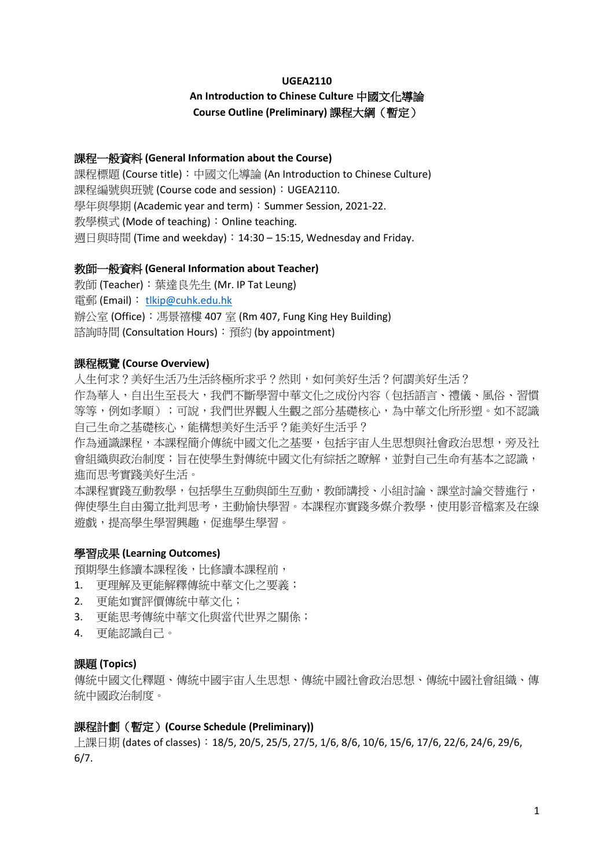#### **UGEA2110**

# **An Introduction to Chinese Culture** 中國文化導論 **Course Outline (Preliminary)** 課程大綱(暫定)

## 課程一般資料 **(General Information about the Course)**

課程標題 (Course title):中國文化導論 (An Introduction to Chinese Culture) 課程編號與班號 (Course code and session):UGEA2110. 學年與學期 (Academic year and term): Summer Session, 2021-22. 教學模式 (Mode of teaching):Online teaching. 週日與時間 (Time and weekday):14:30 – 15:15, Wednesday and Friday.

#### 教師一般資料 **(General Information about Teacher)**

教師 (Teacher):葉達良先生 (Mr. IP Tat Leung) 電郵 (Email): [tlkip@cuhk.edu.hk](mailto:tlkip@cuhk.edu.hk) 辦公室 (Office):馮景禧樓 407 室 (Rm 407, Fung King Hey Building) 諮詢時間 (Consultation Hours):預約 (by appointment)

## 課程概覽 **(Course Overview)**

人生何求?美好生活乃生活終極所求乎?然則,如何美好生活?何謂美好生活? 作為華人,自出生至長大,我們不斷學習中華文化之成份內容(包括語言、禮儀、風俗、習慣 等等,例如孝順);可說,我們世界觀人生觀之部分基礎核心,為中華文化所形塑。如不認識 自己生命之基礎核心,能構想美好生活乎?能美好生活乎?

作為通識課程,本課程簡介傳統中國文化之基要,包括宇宙人生思想與社會政治思想,旁及社 會組織與政治制度;旨在使學生對傳統中國文化有綜括之瞭解,並對自己生命有基本之認識, 進而思考實踐美好生活。

本課程實踐互動教學,包括學生互動與師生互動,教師講授、小組討論、課堂討論交替進行, 俾使學生自由獨立批判思考,主動愉快學習。本課程亦實踐多媒介教學,使用影音檔案及在線 遊戲,提高學生學習興趣,促進學生學習。

# 學習成果 **(Learning Outcomes)**

預期學生修讀本課程後,比修讀本課程前,

- 1. 更理解及更能解釋傳統中華文化之要義;
- 2. 更能如實評價傳統中華文化;
- 3. 更能思考傳統中華文化與當代世界之關係;
- 4. 更能認識自己。

## 課題 **(Topics)**

傳統中國文化釋題、傳統中國宇宙人生思想、傳統中國社會政治思想、傳統中國社會組織、傳 統中國政治制度。

# 課程計劃(暫定)**(Course Schedule (Preliminary))**

上課日期 (dates of classes):18/5, 20/5, 25/5, 27/5, 1/6, 8/6, 10/6, 15/6, 17/6, 22/6, 24/6, 29/6, 6/7.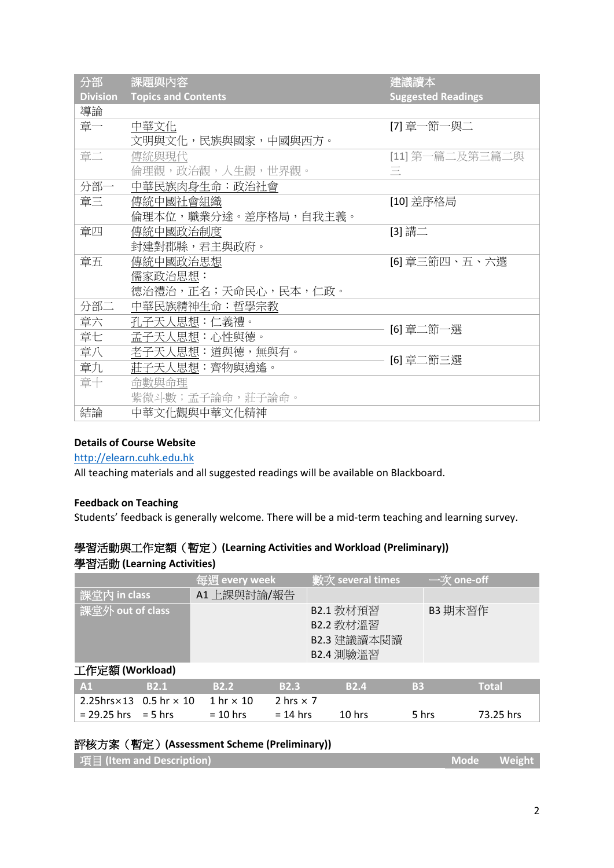| 分部              | 課題與內容                      | 建議讀本                      |  |  |
|-----------------|----------------------------|---------------------------|--|--|
| <b>Division</b> | <b>Topics and Contents</b> | <b>Suggested Readings</b> |  |  |
| 導論              |                            |                           |  |  |
| 章一              | 中華文化                       | [7] 章一節一與二                |  |  |
|                 | 文明與文化,民族與國家,中國與西方。         |                           |  |  |
| 章二              | 傳統與現代                      | [11] 第一篇二及第三篇二與           |  |  |
|                 | 倫理觀,政治觀,人生觀,世界觀。           | Ξ                         |  |  |
| 分部一             | 中華民族肉身生命:政治社會              |                           |  |  |
| 章三              | 傳統中國社會組織                   | [10] 差序格局                 |  |  |
|                 | 倫理本位,職業分途。差序格局,自我主義。       |                           |  |  |
| 章四              | 傳統中國政治制度                   | [3] 講二                    |  |  |
|                 | 封建對郡縣,君主與政府。               |                           |  |  |
| 章五              | 傳統中國政治思想                   | [6] 章三節四、五、六選             |  |  |
|                 | 儒家政治思想:                    |                           |  |  |
|                 | 德治禮治,正名;天命民心,民本,仁政。        |                           |  |  |
| 分部二             | 中華民族精神生命:哲學宗教              |                           |  |  |
| 章六              | 孔子天人思想:仁義禮。                | [6] 章二節一選                 |  |  |
| 章七              | 孟子天人思想:心性與德。               |                           |  |  |
| 章八              | 老子天人思想:道與德,無與有。            |                           |  |  |
| 章九              | 莊子天人思想:齊物與逍遙。              | [6] 章二節三選                 |  |  |
| 章十              | 命數與命理                      |                           |  |  |
|                 | 紫微斗數;孟子論命,莊子論命。            |                           |  |  |
| 結論              | 中華文化觀與中華文化精神               |                           |  |  |

# **Details of Course Website**

# [http://elearn.cuhk.edu.hk](http://elearn.cuhk.edu.hk/)

All teaching materials and all suggested readings will be available on Blackboard.

# **Feedback on Teaching**

Students' feedback is generally welcome. There will be a mid-term teaching and learning survey.

# 學習活動與工作定額(暫定)**(Learning Activities and Workload (Preliminary))** 學習活動 **(Learning Activities)**

|                                        |             | 每週 every week    |                  | 數次 several times                                   |           | $-\forall x$ one-off |              |
|----------------------------------------|-------------|------------------|------------------|----------------------------------------------------|-----------|----------------------|--------------|
| 課堂内 in class                           |             | A1 上課與討論/報告      |                  |                                                    |           |                      |              |
| 課堂外 out of class                       |             |                  |                  | B2.1 教材預習<br>B2.2 教材溫習<br>B2.3 建議讀本閱讀<br>B2.4 測驗溫習 |           | B3 期末習作              |              |
| 工作定額 (Workload)                        |             |                  |                  |                                                    |           |                      |              |
| A1                                     | <b>B2.1</b> | <b>B2.2</b>      | <b>B2.3</b>      | <b>B2.4</b>                                        | <b>B3</b> |                      | <b>Total</b> |
| 2.25hrs $\times$ 13 0.5 hr $\times$ 10 |             | 1 hr $\times$ 10 | 2 hrs $\times$ 7 |                                                    |           |                      |              |
| $= 29.25$ hrs = 5 hrs                  |             | $= 10$ hrs       | $= 14$ hrs       | $10$ hrs                                           | 5 hrs     |                      | 73.25 hrs    |

# 評核方案(暫定)**(Assessment Scheme (Preliminary))**

| │ 項目 (Item and Description) | Mode Weight |  |
|-----------------------------|-------------|--|
|-----------------------------|-------------|--|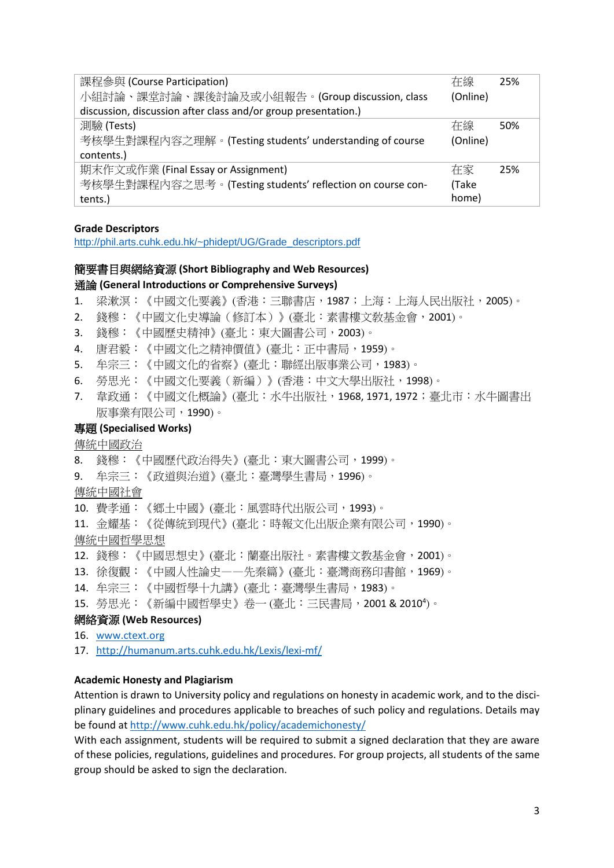| 課程參與 (Course Participation)                                    | 在線       | 25% |  |  |  |
|----------------------------------------------------------------|----------|-----|--|--|--|
| 小組討論、課堂討論、課後討論及或小組報告。(Group discussion, class                  | (Online) |     |  |  |  |
| discussion, discussion after class and/or group presentation.) |          |     |  |  |  |
| 測驗 (Tests)                                                     | 在線       | 50% |  |  |  |
| 考核學生對課程內容之理解。(Testing students' understanding of course        | (Online) |     |  |  |  |
| contents.)                                                     |          |     |  |  |  |
| 期末作文或作業 (Final Essay or Assignment)                            | 在家       | 25% |  |  |  |
| 考核學生對課程內容之思考。(Testing students' reflection on course con-      | (Take    |     |  |  |  |
| tents.)                                                        | home)    |     |  |  |  |

## **Grade Descriptors**

[http://phil.arts.cuhk.edu.hk/~phidept/UG/Grade\\_descriptors.pdf](http://phil.arts.cuhk.edu.hk/~phidept/UG/Grade_descriptors.pdf)

## 簡要書目與網絡資源 **(Short Bibliography and Web Resources)** 通論 **(General Introductions or Comprehensive Surveys)**

- 1. 梁漱溟:《中國文化要義》(香港:三聯書店,1987;上海:上海人民出版社,2005)。
- 2. 錢穆:《中國文化史導論(修訂本)》(臺北:素書樓文敎基金會,2001)。
- 3. 錢穆:《中國歷史精神》(臺北:東大圖書公司,2003)。
- 4. 唐君毅:《中國文化之精神價值》(臺北:正中書局,1959)。
- 5. 牟宗三:《中國文化的省察》(臺北:聯經出版事業公司,1983)。
- 6. 勞思光:《中國文化要義(新編)》(香港:中文大學出版社,1998)。
- 7. 韋政通:《中國文化概論》(臺北:水牛出版社,1968,1971,1972;臺北市:水牛圖書出 版事業有限公司,1990)。

#### 專題 **(Specialised Works)**

傳統中國政治

- 8. 錢穆:《中國歷代政治得失》(臺北:東大圖書公司,1999)。
- 9. 牟宗三:《政道與治道》(臺北:臺灣學生書局,1996)。

傳統中國社會

10. 費孝通:《鄉土中國》(臺北:風雲時代出版公司,1993)。

11. 金耀基:《從傳統到現代》(臺北:時報文化出版企業有限公司,1990)。

- 傳統中國哲學思想
- 12. 錢穆:《中國思想史》(臺北:蘭臺出版社。素書樓文教基金會,2001)。
- 13. 徐復觀:《中國人性論史——先秦篇》(臺北:臺灣商務印書館,1969)。
- 14. 牟宗三:《中國哲學十九講》(臺北:臺灣學生書局,1983)。
- 15. 勞思光:《新編中國哲學史》卷一 (臺北:三民書局,2001 & 2010<sup>4</sup> )。

#### 網絡資源 **(Web Resources)**

- 16. [www.ctext.org](http://www.ctext.org/)
- 17. <http://humanum.arts.cuhk.edu.hk/Lexis/lexi-mf/>

#### **Academic Honesty and Plagiarism**

Attention is drawn to University policy and regulations on honesty in academic work, and to the disciplinary guidelines and procedures applicable to breaches of such policy and regulations. Details may be found at <http://www.cuhk.edu.hk/policy/academichonesty/>

With each assignment, students will be required to submit a signed declaration that they are aware of these policies, regulations, guidelines and procedures. For group projects, all students of the same group should be asked to sign the declaration.